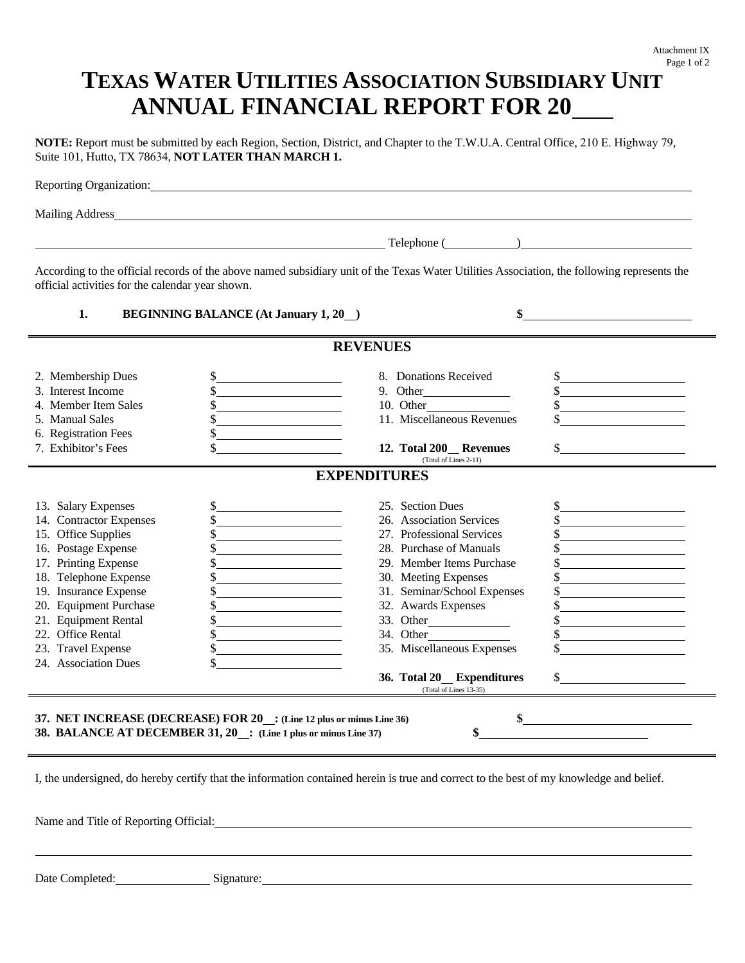## **TEXAS WATER UTILITIES ASSOCIATION SUBSIDIARY UNIT ANNUAL FINANCIAL REPORT FOR 20**

**NOTE:** Report must be submitted by each Region, Section, District, and Chapter to the T.W.U.A. Central Office, 210 E. Highway 79, Suite 101, Hutto, TX 78634, **NOT LATER THAN MARCH 1.**

|                                                   | <u> 2002 - Andrea State Barbara, amerikan personal di personal dengan personal dengan personal dengan personal de</u>                       | Telephone ( <u>New York: New York: New York: New York: New York: New York: New York: New York: New York: New York: New York: New York: New York: New York: New York: New York: New York: New York: New York: New York: New York: </u>                                                                                                                                                         |               |
|---------------------------------------------------|---------------------------------------------------------------------------------------------------------------------------------------------|-----------------------------------------------------------------------------------------------------------------------------------------------------------------------------------------------------------------------------------------------------------------------------------------------------------------------------------------------------------------------------------------------|---------------|
| official activities for the calendar year shown.  | According to the official records of the above named subsidiary unit of the Texas Water Utilities Association, the following represents the |                                                                                                                                                                                                                                                                                                                                                                                               |               |
| 1.<br><b>BEGINNING BALANCE (At January 1, 20)</b> |                                                                                                                                             | $\frac{\frac{1}{2} \frac{1}{2} \frac{1}{2} \frac{1}{2} \frac{1}{2} \frac{1}{2} \frac{1}{2} \frac{1}{2} \frac{1}{2} \frac{1}{2} \frac{1}{2} \frac{1}{2} \frac{1}{2} \frac{1}{2} \frac{1}{2} \frac{1}{2} \frac{1}{2} \frac{1}{2} \frac{1}{2} \frac{1}{2} \frac{1}{2} \frac{1}{2} \frac{1}{2} \frac{1}{2} \frac{1}{2} \frac{1}{2} \frac{1}{2} \frac{1}{2} \frac{1}{2} \frac{1}{2} \frac{1}{2} \$ |               |
|                                                   | <b>REVENUES</b>                                                                                                                             |                                                                                                                                                                                                                                                                                                                                                                                               |               |
| 2. Membership Dues                                | $\frac{1}{2}$                                                                                                                               | 8. Donations Received                                                                                                                                                                                                                                                                                                                                                                         |               |
| 3. Interest Income                                |                                                                                                                                             | 9. Other                                                                                                                                                                                                                                                                                                                                                                                      |               |
| 4. Member Item Sales                              | \$                                                                                                                                          | 10. Other                                                                                                                                                                                                                                                                                                                                                                                     | $\frac{1}{2}$ |
| 5. Manual Sales                                   |                                                                                                                                             | 11. Miscellaneous Revenues                                                                                                                                                                                                                                                                                                                                                                    |               |
| 6. Registration Fees                              | \$                                                                                                                                          |                                                                                                                                                                                                                                                                                                                                                                                               |               |
| 7. Exhibitor's Fees                               | \$                                                                                                                                          | 12. Total 200 Revenues<br>(Total of Lines 2-11)                                                                                                                                                                                                                                                                                                                                               | $\sim$        |
|                                                   | <b>EXPENDITURES</b>                                                                                                                         |                                                                                                                                                                                                                                                                                                                                                                                               |               |
| 13. Salary Expenses                               | \$<br><u> 1980 - Johann Barn, mars ann an t-Amhain Aonaich an t-Aonaich an t-Aonaich ann an t-Aonaich ann an t-Aonaich</u>                  | 25. Section Dues                                                                                                                                                                                                                                                                                                                                                                              |               |
| 14. Contractor Expenses                           | <u> 1980 - Andrea Britain, politik eta politik eta politik eta politik eta politik eta politik eta politik eta p</u>                        | 26. Association Services                                                                                                                                                                                                                                                                                                                                                                      |               |
| 15. Office Supplies                               |                                                                                                                                             | 27. Professional Services                                                                                                                                                                                                                                                                                                                                                                     |               |
| 16. Postage Expense                               | <u> 1989 - Andrea Station Barbara, amerikan per</u>                                                                                         | 28. Purchase of Manuals                                                                                                                                                                                                                                                                                                                                                                       |               |
| 17. Printing Expense                              |                                                                                                                                             | 29. Member Items Purchase                                                                                                                                                                                                                                                                                                                                                                     |               |
| 18. Telephone Expense                             |                                                                                                                                             | 30. Meeting Expenses                                                                                                                                                                                                                                                                                                                                                                          |               |
| 19. Insurance Expense                             |                                                                                                                                             | 31. Seminar/School Expenses                                                                                                                                                                                                                                                                                                                                                                   |               |
| 20. Equipment Purchase                            |                                                                                                                                             | 32. Awards Expenses                                                                                                                                                                                                                                                                                                                                                                           |               |
| 21. Equipment Rental                              |                                                                                                                                             |                                                                                                                                                                                                                                                                                                                                                                                               |               |
| 22. Office Rental                                 | \$                                                                                                                                          |                                                                                                                                                                                                                                                                                                                                                                                               |               |
| 23. Travel Expense                                | \$                                                                                                                                          | 35. Miscellaneous Expenses                                                                                                                                                                                                                                                                                                                                                                    |               |
| 24. Association Dues                              | \$                                                                                                                                          |                                                                                                                                                                                                                                                                                                                                                                                               |               |
|                                                   |                                                                                                                                             | 36. Total 20 Expenditures<br>(Total of Lines 13-35)                                                                                                                                                                                                                                                                                                                                           | $\sim$        |
|                                                   | 37. NET INCREASE (DECREASE) FOR 20 : (Line 12 plus or minus Line 36)<br>38. BALANCE AT DECEMBER 31, 20 : (Line 1 plus or minus Line 37)     | \$                                                                                                                                                                                                                                                                                                                                                                                            | $\frac{1}{2}$ |

Name and Title of Reporting Official: **Name and Title of Reporting Official:** 

Date Completed: Signature: Signature: